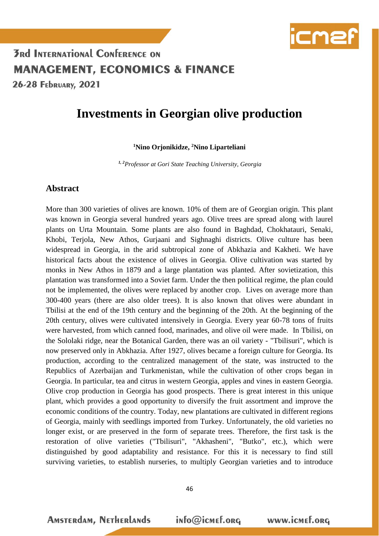

#### **3Rd INTERNATIONAL CONFERENCE ON MANAGEMENT, ECONOMICS & FINANCE** 26-28 FEDRUARY, 2021

#### **Investments in Georgian olive production**

#### **<sup>1</sup>Nino Orjonikidze, <sup>2</sup>Nino Liparteliani**

*1, 2Professor at Gori State Teaching University, Georgia*

#### **Abstract**

More than 300 varieties of olives are known. 10% of them are of Georgian origin. This plant was known in Georgia several hundred years ago. Olive trees are spread along with laurel plants on Urta Mountain. Some plants are also found in Baghdad, Chokhatauri, Senaki, Khobi, Terjola, New Athos, Gurjaani and Sighnaghi districts. Olive culture has been widespread in Georgia, in the arid subtropical zone of Abkhazia and Kakheti. We have historical facts about the existence of olives in Georgia. Olive cultivation was started by monks in New Athos in 1879 and a large plantation was planted. After sovietization, this plantation was transformed into a Soviet farm. Under the then political regime, the plan could not be implemented, the olives were replaced by another crop. Lives on average more than 300-400 years (there are also older trees). It is also known that olives were abundant in Tbilisi at the end of the 19th century and the beginning of the 20th. At the beginning of the 20th century, olives were cultivated intensively in Georgia. Every year 60-78 tons of fruits were harvested, from which canned food, marinades, and olive oil were made. In Tbilisi, on the Sololaki ridge, near the Botanical Garden, there was an oil variety - "Tbilisuri", which is now preserved only in Abkhazia. After 1927, olives became a foreign culture for Georgia. Its production, according to the centralized management of the state, was instructed to the Republics of Azerbaijan and Turkmenistan, while the cultivation of other crops began in Georgia. In particular, tea and citrus in western Georgia, apples and vines in eastern Georgia. Olive crop production in Georgia has good prospects. There is great interest in this unique plant, which provides a good opportunity to diversify the fruit assortment and improve the economic conditions of the country. Today, new plantations are cultivated in different regions of Georgia, mainly with seedlings imported from Turkey. Unfortunately, the old varieties no longer exist, or are preserved in the form of separate trees. Therefore, the first task is the restoration of olive varieties ("Tbilisuri", "Akhasheni", "Butko", etc.), which were distinguished by good adaptability and resistance. For this it is necessary to find still surviving varieties, to establish nurseries, to multiply Georgian varieties and to introduce

**AMSTERdAM, NETHERLANDS**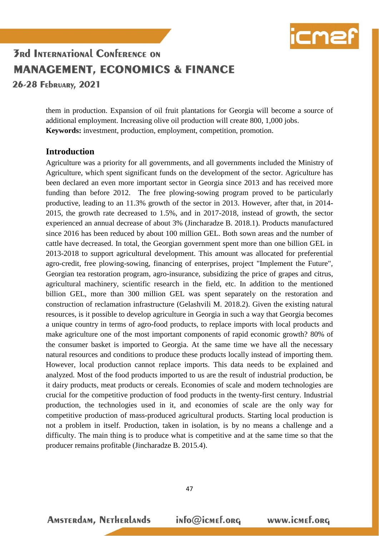

26-28 FEDRUARY, 2021

them in production. Expansion of oil fruit plantations for Georgia will become a source of additional employment. Increasing olive oil production will create 800, 1,000 jobs. **Keywords:** investment, production, employment, competition, promotion.

#### **Introduction**

Agriculture was a priority for all governments, and all governments included the Ministry of Agriculture, which spent significant funds on the development of the sector. Agriculture has been declared an even more important sector in Georgia since 2013 and has received more funding than before 2012. The free plowing-sowing program proved to be particularly productive, leading to an 11.3% growth of the sector in 2013. However, after that, in 2014- 2015, the growth rate decreased to 1.5%, and in 2017-2018, instead of growth, the sector experienced an annual decrease of about 3% (Jincharadze B. 2018.1). Products manufactured since 2016 has been reduced by about 100 million GEL. Both sown areas and the number of cattle have decreased. In total, the Georgian government spent more than one billion GEL in 2013-2018 to support agricultural development. This amount was allocated for preferential agro-credit, free plowing-sowing, financing of enterprises, project "Implement the Future", Georgian tea restoration program, agro-insurance, subsidizing the price of grapes and citrus, agricultural machinery, scientific research in the field, etc. In addition to the mentioned billion GEL, more than 300 million GEL was spent separately on the restoration and construction of reclamation infrastructure (Gelashvili M. 2018.2). Given the existing natural resources, is it possible to develop agriculture in Georgia in such a way that Georgia becomes a unique country in terms of agro-food products, to replace imports with local products and make agriculture one of the most important components of rapid economic growth? 80% of the consumer basket is imported to Georgia. At the same time we have all the necessary natural resources and conditions to produce these products locally instead of importing them. However, local production cannot replace imports. This data needs to be explained and analyzed. Most of the food products imported to us are the result of industrial production, be it dairy products, meat products or cereals. Economies of scale and modern technologies are crucial for the competitive production of food products in the twenty-first century. Industrial production, the technologies used in it, and economies of scale are the only way for competitive production of mass-produced agricultural products. Starting local production is not a problem in itself. Production, taken in isolation, is by no means a challenge and a difficulty. The main thing is to produce what is competitive and at the same time so that the producer remains profitable (Jincharadze B. 2015.4).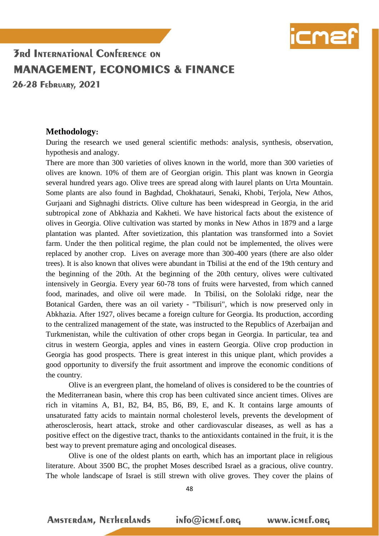

26-28 FEDRUARY, 2021

#### **Methodology:**

During the research we used general scientific methods: analysis, synthesis, observation, hypothesis and analogy.

There are more than 300 varieties of olives known in the world, more than 300 varieties of olives are known. 10% of them are of Georgian origin. This plant was known in Georgia several hundred years ago. Olive trees are spread along with laurel plants on Urta Mountain. Some plants are also found in Baghdad, Chokhatauri, Senaki, Khobi, Terjola, New Athos, Gurjaani and Sighnaghi districts. Olive culture has been widespread in Georgia, in the arid subtropical zone of Abkhazia and Kakheti. We have historical facts about the existence of olives in Georgia. Olive cultivation was started by monks in New Athos in 1879 and a large plantation was planted. After sovietization, this plantation was transformed into a Soviet farm. Under the then political regime, the plan could not be implemented, the olives were replaced by another crop. Lives on average more than 300-400 years (there are also older trees). It is also known that olives were abundant in Tbilisi at the end of the 19th century and the beginning of the 20th. At the beginning of the 20th century, olives were cultivated intensively in Georgia. Every year 60-78 tons of fruits were harvested, from which canned food, marinades, and olive oil were made. In Tbilisi, on the Sololaki ridge, near the Botanical Garden, there was an oil variety - "Tbilisuri", which is now preserved only in Abkhazia. After 1927, olives became a foreign culture for Georgia. Its production, according to the centralized management of the state, was instructed to the Republics of Azerbaijan and Turkmenistan, while the cultivation of other crops began in Georgia. In particular, tea and citrus in western Georgia, apples and vines in eastern Georgia. Olive crop production in Georgia has good prospects. There is great interest in this unique plant, which provides a good opportunity to diversify the fruit assortment and improve the economic conditions of the country.

Olive is an evergreen plant, the homeland of olives is considered to be the countries of the Mediterranean basin, where this crop has been cultivated since ancient times. Olives are rich in vitamins A, B1, B2, B4, B5, B6, B9, E, and K. It contains large amounts of unsaturated fatty acids to maintain normal cholesterol levels, prevents the development of atherosclerosis, heart attack, stroke and other cardiovascular diseases, as well as has a positive effect on the digestive tract, thanks to the antioxidants contained in the fruit, it is the best way to prevent premature aging and oncological diseases.

Olive is one of the oldest plants on earth, which has an important place in religious literature. About 3500 BC, the prophet Moses described Israel as a gracious, olive country. The whole landscape of Israel is still strewn with olive groves. They cover the plains of

48

**AMSTERdAM, NETHERLANDS**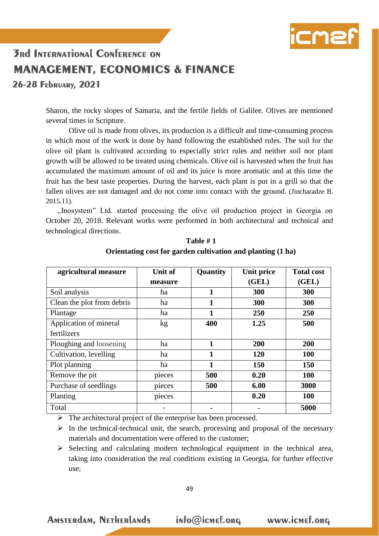

26-28 FEDRUARY, 2021

Sharon, the rocky slopes of Samaria, and the fertile fields of Galilee. Olives are mentioned several times in Scripture.

Olive oil is made from olives, its production is a difficult and time-consuming process in which most of the work is done by hand following the established rules. The soil for the olive oil plant is cultivated according to especially strict rules and neither soil nor plant growth will be allowed to be treated using chemicals. Olive oil is harvested when the fruit has accumulated the maximum amount of oil and its juice is more aromatic and at this time the fruit has the best taste properties. During the harvest, each plant is put in a grill so that the fallen olives are not damaged and do not come into contact with the ground. (Jincharadze B. 2015.11).

,,Inosystem" Ltd. started processing the olive oil production project in Georgia on October 20, 2018. Relevant works were performed in both architectural and technical and technological directions.

| agricultural measure       | Unit of         | Quantity | Unit price | <b>Total cost</b> |
|----------------------------|-----------------|----------|------------|-------------------|
|                            | measure         |          | (GEL)      | (GEL)             |
| Soil analysis              | ha              | 1        | 300        | 300               |
| Clean the plot from debris | ha              | 1        | 300        | 300               |
| Plantage                   | ha              | 1        | 250        | 250               |
| Application of mineral     | kg <sub>2</sub> | 400      | 1.25       | 500               |
| fertilizers                |                 |          |            |                   |
| Ploughing and loosening    | ha              | 1        | 200        | 200               |
| Cultivation, levelling     | ha              | 1        | 120        | 100               |
| Plot planning              | ha              | 1        | 150        | 150               |
| Remove the pit             | pieces          | 500      | 0.20       | <b>100</b>        |
| Purchase of seedlings      | pieces          | 500      | 6.00       | 3000              |
| Planting                   | pieces          |          | 0.20       | 100               |
| Total                      |                 |          |            | 5000              |

**Table # 1 Orientating cost for garden cultivation and planting (1 ha)**

 $\triangleright$  The architectural project of the enterprise has been processed.

 $\triangleright$  In the technical-technical unit, the search, processing and proposal of the necessary materials and documentation were offered to the customer;

 $\triangleright$  Selecting and calculating modern technological equipment in the technical area, taking into consideration the real conditions existing in Georgia, for further effective use;

**AMSTERdAM, NETHERLANDS**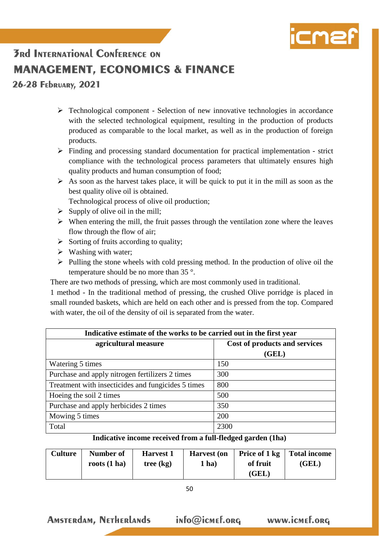

26-28 FEDRUARY, 2021

- $\triangleright$  Technological component Selection of new innovative technologies in accordance with the selected technological equipment, resulting in the production of products produced as comparable to the local market, as well as in the production of foreign products.
- $\triangleright$  Finding and processing standard documentation for practical implementation strict compliance with the technological process parameters that ultimately ensures high quality products and human consumption of food;
- $\triangleright$  As soon as the harvest takes place, it will be quick to put it in the mill as soon as the best quality olive oil is obtained.
	- Technological process of olive oil production;
- $\triangleright$  Supply of olive oil in the mill;
- $\triangleright$  When entering the mill, the fruit passes through the ventilation zone where the leaves flow through the flow of air;
- $\triangleright$  Sorting of fruits according to quality;
- $\triangleright$  Washing with water;
- $\triangleright$  Pulling the stone wheels with cold pressing method. In the production of olive oil the temperature should be no more than 35 °.

There are two methods of pressing, which are most commonly used in traditional.

1 method - In the traditional method of pressing, the crushed Olive porridge is placed in small rounded baskets, which are held on each other and is pressed from the top. Compared with water, the oil of the density of oil is separated from the water.

| Indicative estimate of the works to be carried out in the first year |                               |  |  |
|----------------------------------------------------------------------|-------------------------------|--|--|
| agricultural measure                                                 | Cost of products and services |  |  |
|                                                                      | (GEL)                         |  |  |
| Watering 5 times                                                     | 150                           |  |  |
| Purchase and apply nitrogen fertilizers 2 times                      | 300                           |  |  |
| Treatment with insecticides and fungicides 5 times                   | 800                           |  |  |
| Hoeing the soil 2 times                                              | 500                           |  |  |
| Purchase and apply herbicides 2 times                                | 350                           |  |  |
| Mowing 5 times                                                       | 200                           |  |  |
| Total                                                                | 2300                          |  |  |

#### **Indicative income received from a full-fledged garden (1ha)**

| <b>Culture</b> | Number of<br>roots $(1 ha)$ | <b>Harvest 1</b><br>tree (kg) | <b>Harvest</b> (on<br>$1$ ha) | of fruit | Price of 1 kg   Total income<br>(GEL) |
|----------------|-----------------------------|-------------------------------|-------------------------------|----------|---------------------------------------|
|                |                             |                               |                               | (GEL)    |                                       |

**AMSTERdAM, NETHERLANDS**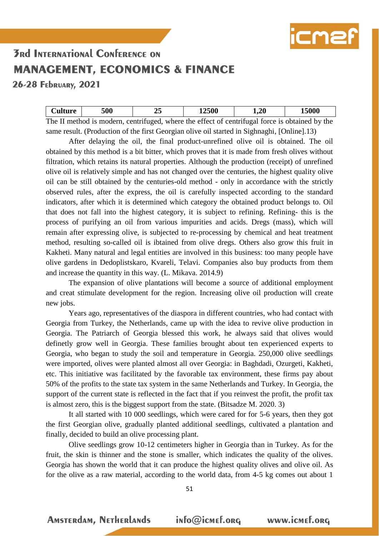

26-28 FEDRUARY, 2021

| <b>Culture</b> | 500 |                                                                                                | .2500 | 1,20 | 5000 |
|----------------|-----|------------------------------------------------------------------------------------------------|-------|------|------|
|                |     | The II method is modern, contrifused, where the effect of contrifused force is obtained by the |       |      |      |

The II method is modern, centrifuged, where the effect of centrifugal force is obtained by the same result. (Production of the first Georgian olive oil started in Sighnaghi, [Online].13)

After delaying the oil, the final product-unrefined olive oil is obtained. The oil obtained by this method is a bit bitter, which proves that it is made from fresh olives without filtration, which retains its natural properties. Although the production (receipt) of unrefined olive oil is relatively simple and has not changed over the centuries, the highest quality olive oil can be still obtained by the centuries-old method - only in accordance with the strictly observed rules, after the express, the oil is carefully inspected according to the standard indicators, after which it is determined which category the obtained product belongs to. Oil that does not fall into the highest category, it is subject to refining. Refining- this is the process of purifying an oil from various impurities and acids. Dregs (mass), which will remain after expressing olive, is subjected to re-processing by chemical and heat treatment method, resulting so-called oil is ibtained from olive dregs. Others also grow this fruit in Kakheti. Many natural and legal entities are involved in this business: too many people have olive gardens in Dedoplistskaro, Kvareli, Telavi. Companies also buy products from them and increase the quantity in this way. (L. Mikava. 2014.9)

The expansion of olive plantations will become a source of additional employment and creat stimulate development for the region. Increasing olive oil production will create new jobs.

Years ago, representatives of the diaspora in different countries, who had contact with Georgia from Turkey, the Netherlands, came up with the idea to revive olive production in Georgia. The Patriarch of Georgia blessed this work, he always said that olives would definetly grow well in Georgia. These families brought about ten experienced experts to Georgia, who began to study the soil and temperature in Georgia. 250,000 olive seedlings were imported, olives were planted almost all over Georgia: in Baghdadi, Ozurgeti, Kakheti, etc. This initiative was facilitated by the favorable tax environment, these firms pay about 50% of the profits to the state tax system in the same Netherlands and Turkey. In Georgia, the support of the current state is reflected in the fact that if you reinvest the profit, the profit tax is almost zero, this is the biggest support from the state. (Bitsadze M. 2020. 3)

It all started with 10 000 seedlings, which were cared for for 5-6 years, then they got the first Georgian olive, gradually planted additional seedlings, cultivated a plantation and finally, decided to build an olive processing plant.

Olive seedlings grow 10-12 centimeters higher in Georgia than in Turkey. As for the fruit, the skin is thinner and the stone is smaller, which indicates the quality of the olives. Georgia has shown the world that it can produce the highest quality olives and olive oil. As for the olive as a raw material, according to the world data, from 4-5 kg comes out about 1

51

**AMSTERdAM, NETHERLANDS**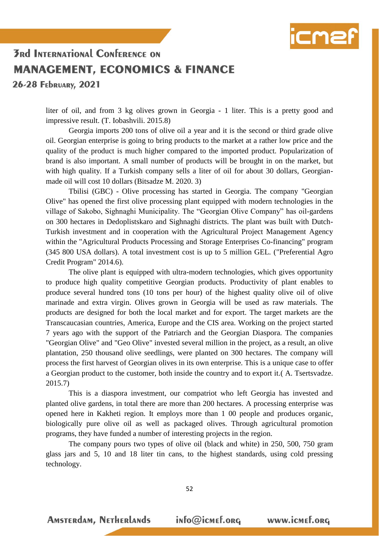

26-28 FEDRUARY, 2021

liter of oil, and from 3 kg olives grown in Georgia - 1 liter. This is a pretty good and impressive result. (T. Iobashvili. 2015.8)

Georgia imports 200 tons of olive oil a year and it is the second or third grade olive oil. Georgian enterprise is going to bring products to the market at a rather low price and the quality of the product is much higher compared to the imported product. Popularization of brand is also important. A small number of products will be brought in on the market, but with high quality. If a Turkish company sells a liter of oil for about 30 dollars, Georgianmade oil will cost 10 dollars (Bitsadze M. 2020. 3)

Tbilisi (GBC) - Olive processing has started in Georgia. The company "Georgian Olive" has opened the first olive processing plant equipped with modern technologies in the village of Sakobo, Sighnaghi Municipality. The "Georgian Olive Company" has oil-gardens on 300 hectares in Dedoplistskaro and Sighnaghi districts. The plant was built with Dutch-Turkish investment and in cooperation with the Agricultural Project Management Agency within the "Agricultural Products Processing and Storage Enterprises Co-financing" program (345 800 USA dollars). A total investment cost is up to 5 million GEL. ("Preferential Agro Credit Program" 2014.6).

The olive plant is equipped with ultra-modern technologies, which gives opportunity to produce high quality competitive Georgian products. Productivity of plant enables to produce several hundred tons (10 tons per hour) of the highest quality olive oil of olive marinade and extra virgin. Olives grown in Georgia will be used as raw materials. The products are designed for both the local market and for export. The target markets are the Transcaucasian countries, America, Europe and the CIS area. Working on the project started 7 years ago with the support of the Patriarch and the Georgian Diaspora. The companies "Georgian Olive" and "Geo Olive" invested several million in the project, as a result, an olive plantation, 250 thousand olive seedlings, were planted on 300 hectares. The company will process the first harvest of Georgian olives in its own enterprise. This is a unique case to offer a Georgian product to the customer, both inside the country and to export it.( A. Tsertsvadze. 2015.7)

This is a diaspora investment, our compatriot who left Georgia has invested and planted olive gardens, in total there are more than 200 hectares. A processing enterprise was opened here in Kakheti region. It employs more than 1 00 people and produces organic, biologically pure olive oil as well as packaged olives. Through agricultural promotion programs, they have funded a number of interesting projects in the region.

The company pours two types of olive oil (black and white) in 250, 500, 750 gram glass jars and 5, 10 and 18 liter tin cans, to the highest standards, using cold pressing technology.

52

**AMSTERdAM, NETHERLANDS**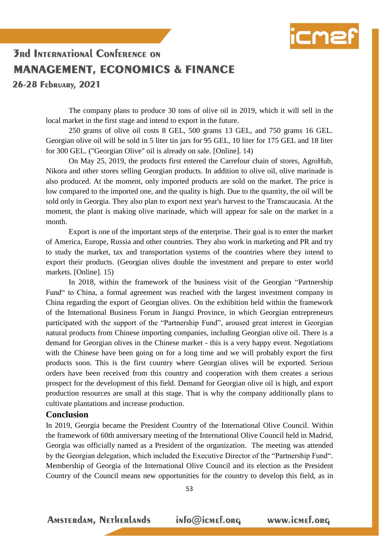

26-28 FEDRUARY, 2021

The company plans to produce 30 tons of olive oil in 2019, which it will sell in the local market in the first stage and intend to export in the future.

250 grams of olive oil costs 8 GEL, 500 grams 13 GEL, and 750 grams 16 GEL. Georgian olive oil will be sold in 5 liter tin jars for 95 GEL, 10 liter for 175 GEL and 18 liter for 300 GEL. ("Georgian Olive" oil is already on sale. [Online]. 14)

On May 25, 2019, the products first entered the Carrefour chain of stores, AgroHub, Nikora and other stores selling Georgian products. In addition to olive oil, olive marinade is also produced. At the moment, only imported products are sold on the market. The price is low compared to the imported one, and the quality is high. Due to the quantity, the oil will be sold only in Georgia. They also plan to export next year's harvest to the Transcaucasia. At the moment, the plant is making olive marinade, which will appear for sale on the market in a month.

Export is one of the important steps of the enterprise. Their goal is to enter the market of America, Europe, Russia and other countries. They also work in marketing and PR and try to study the market, tax and transportation systems of the countries where they intend to export their products. (Georgian olives double the investment and prepare to enter world markets. [Online]. 15)

In 2018, within the framework of the business visit of the Georgian "Partnership Fund" to China, a formal agreement was reached with the largest investment company in China regarding the export of Georgian olives. On the exhibition held within the framework of the International Business Forum in Jiangxi Province, in which Georgian entrepreneurs participated with the support of the "Partnership Fund", aroused great interest in Georgian natural products from Chinese importing companies, including Georgian olive oil. There is a demand for Georgian olives in the Chinese market - this is a very happy event. Negotiations with the Chinese have been going on for a long time and we will probably export the first products soon. This is the first country where Georgian olives will be exported. Serious orders have been received from this country and cooperation with them creates a serious prospect for the development of this field. Demand for Georgian olive oil is high, and export production resources are small at this stage. That is why the company additionally plans to cultivate plantations and increase production.

#### **Conclusion**

In 2019, Georgia became the President Country of the International Olive Council. Within the framework of 60th anniversary meeting of the International Olive Council held in Madrid, Georgia was officially named as a President of the organization. The meeting was attended by the Georgian delegation, which included the Executive Director of the "Partnership Fund". Membership of Georgia of the International Olive Council and its election as the President Country of the Council means new opportunities for the country to develop this field, as in

53

**AMSTERdAM, NETHERLANDS**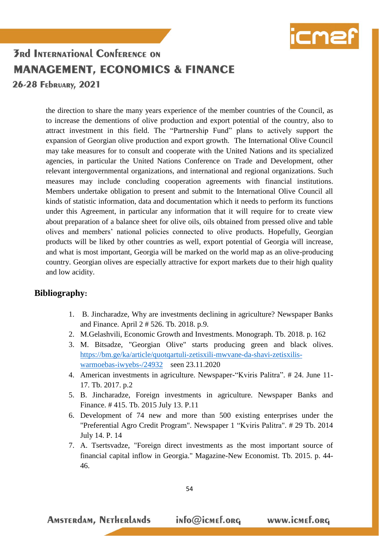

26-28 FEDRUARY, 2021

the direction to share the many years experience of the member countries of the Council, as to increase the dementions of olive production and export potential of the country, also to attract investment in this field. The "Partnership Fund" plans to actively support the expansion of Georgian olive production and export growth. The International Olive Council may take measures for to consult and cooperate with the United Nations and its specialized agencies, in particular the United Nations Conference on Trade and Development, other relevant intergovernmental organizations, and international and regional organizations. Such measures may include concluding cooperation agreements with financial institutions. Members undertake obligation to present and submit to the International Olive Council all kinds of statistic information, data and documentation which it needs to perform its functions under this Agreement, in particular any information that it will require for to create view about preparation of a balance sheet for olive oils, oils obtained from pressed olive and table olives and members' national policies connected to olive products. Hopefully, Georgian products will be liked by other countries as well, export potential of Georgia will increase, and what is most important, Georgia will be marked on the world map as an olive-producing country. Georgian olives are especially attractive for export markets due to their high quality and low acidity.

#### **Bibliography:**

- 1. B. Jincharadze, Why are investments declining in agriculture? Newspaper Banks and Finance. April 2 # 526. Tb. 2018. p.9.
- 2. M.Gelashvili, Economic Growth and Investments. Monograph. Tb. 2018. p. 162
- 3. M. Bitsadze, "Georgian Olive" starts producing green and black olives. [https://bm.ge/ka/article/quotqartuli-zetisxili-mwvane-da-shavi-zetisxilis](https://bm.ge/ka/article/quotqartuli-zetisxili-mwvane-da-shavi-zetisxilis-warmoebas-iwyebs-/24932)[warmoebas-iwyebs-/24932](https://bm.ge/ka/article/quotqartuli-zetisxili-mwvane-da-shavi-zetisxilis-warmoebas-iwyebs-/24932) seen 23.11.2020
- 4. American investments in agriculture. Newspaper-"Kviris Palitra". # 24. June 11- 17. Tb. 2017. p.2
- 5. B. Jincharadze, Foreign investments in agriculture. Newspaper Banks and Finance. # 415. Tb. 2015 July 13. P.11
- 6. Development of 74 new and more than 500 existing enterprises under the "Preferential Agro Credit Program". Newspaper 1 "Kviris Palitra". # 29 Tb. 2014 July 14. P. 14
- 7. A. Tsertsvadze, "Foreign direct investments as the most important source of financial capital inflow in Georgia." Magazine-New Economist. Tb. 2015. p. 44- 46.

**AMSTERdAM, NETHERLANDS** 

info@icmef.org